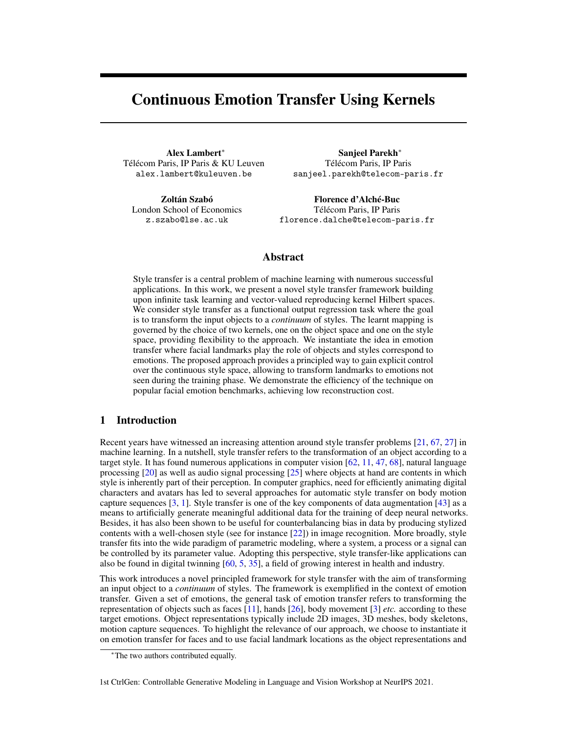# <span id="page-0-0"></span>Continuous Emotion Transfer Using Kernels

Alex Lambert<sup>∗</sup> Télécom Paris, IP Paris & KU Leuven alex.lambert@kuleuven.be

Zoltán Szabó London School of Economics z.szabo@lse.ac.uk

Sanjeel Parekh<sup>∗</sup> Télécom Paris, IP Paris sanjeel.parekh@telecom-paris.fr

Florence d'Alché-Buc Télécom Paris, IP Paris florence.dalche@telecom-paris.fr

# Abstract

Style transfer is a central problem of machine learning with numerous successful applications. In this work, we present a novel style transfer framework building upon infinite task learning and vector-valued reproducing kernel Hilbert spaces. We consider style transfer as a functional output regression task where the goal is to transform the input objects to a *continuum* of styles. The learnt mapping is governed by the choice of two kernels, one on the object space and one on the style space, providing flexibility to the approach. We instantiate the idea in emotion transfer where facial landmarks play the role of objects and styles correspond to emotions. The proposed approach provides a principled way to gain explicit control over the continuous style space, allowing to transform landmarks to emotions not seen during the training phase. We demonstrate the efficiency of the technique on popular facial emotion benchmarks, achieving low reconstruction cost.

# 1 Introduction

Recent years have witnessed an increasing attention around style transfer problems [\[21,](#page-9-0) [67,](#page-12-0) [27\]](#page-9-1) in machine learning. In a nutshell, style transfer refers to the transformation of an object according to a target style. It has found numerous applications in computer vision [\[62,](#page-11-0) [11,](#page-8-0) [47,](#page-11-1) [68\]](#page-12-1), natural language processing [\[20\]](#page-9-2) as well as audio signal processing [\[25\]](#page-9-3) where objects at hand are contents in which style is inherently part of their perception. In computer graphics, need for efficiently animating digital characters and avatars has led to several approaches for automatic style transfer on body motion capture sequences [\[3,](#page-8-1) [1\]](#page-8-2). Style transfer is one of the key components of data augmentation [\[43\]](#page-10-0) as a means to artificially generate meaningful additional data for the training of deep neural networks. Besides, it has also been shown to be useful for counterbalancing bias in data by producing stylized contents with a well-chosen style (see for instance [\[22\]](#page-9-4)) in image recognition. More broadly, style transfer fits into the wide paradigm of parametric modeling, where a system, a process or a signal can be controlled by its parameter value. Adopting this perspective, style transfer-like applications can also be found in digital twinning [\[60,](#page-11-2) [5,](#page-8-3) [35\]](#page-10-1), a field of growing interest in health and industry.

This work introduces a novel principled framework for style transfer with the aim of transforming an input object to a *continuum* of styles. The framework is exemplified in the context of emotion transfer. Given a set of emotions, the general task of emotion transfer refers to transforming the representation of objects such as faces [\[11\]](#page-8-0), hands [\[26\]](#page-9-5), body movement [\[3\]](#page-8-1) *etc.* according to these target emotions. Object representations typically include 2D images, 3D meshes, body skeletons, motion capture sequences. To highlight the relevance of our approach, we choose to instantiate it on emotion transfer for faces and to use facial landmark locations as the object representations and

1st CtrlGen: Controllable Generative Modeling in Language and Vision Workshop at NeurIPS 2021.

<sup>∗</sup>The two authors contributed equally.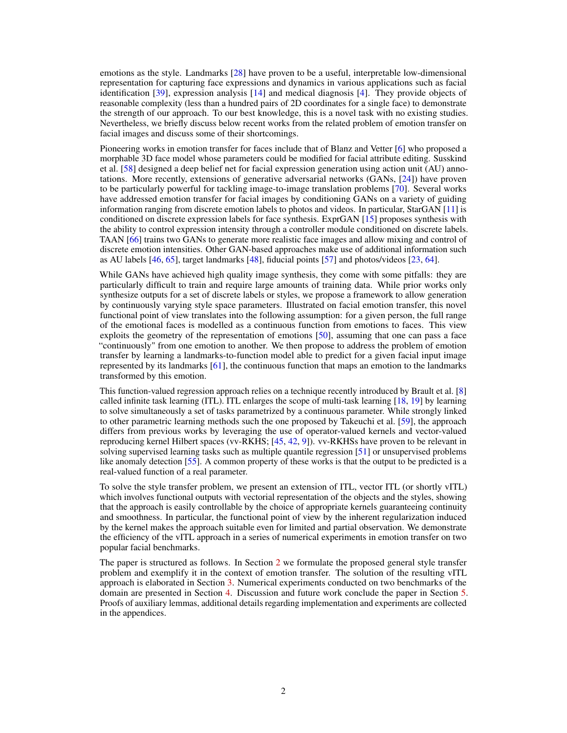<span id="page-1-0"></span>emotions as the style. Landmarks [\[28\]](#page-9-6) have proven to be a useful, interpretable low-dimensional representation for capturing face expressions and dynamics in various applications such as facial identification [\[39\]](#page-10-2), expression analysis [\[14\]](#page-9-7) and medical diagnosis [\[4\]](#page-8-4). They provide objects of reasonable complexity (less than a hundred pairs of 2D coordinates for a single face) to demonstrate the strength of our approach. To our best knowledge, this is a novel task with no existing studies. Nevertheless, we briefly discuss below recent works from the related problem of emotion transfer on facial images and discuss some of their shortcomings.

Pioneering works in emotion transfer for faces include that of Blanz and Vetter [\[6\]](#page-8-5) who proposed a morphable 3D face model whose parameters could be modified for facial attribute editing. Susskind et al. [\[58\]](#page-11-3) designed a deep belief net for facial expression generation using action unit (AU) annotations. More recently, extensions of generative adversarial networks (GANs, [\[24\]](#page-9-8)) have proven to be particularly powerful for tackling image-to-image translation problems [\[70\]](#page-12-2). Several works have addressed emotion transfer for facial images by conditioning GANs on a variety of guiding information ranging from discrete emotion labels to photos and videos. In particular, StarGAN [\[11\]](#page-8-0) is conditioned on discrete expression labels for face synthesis. ExprGAN [\[15\]](#page-9-9) proposes synthesis with the ability to control expression intensity through a controller module conditioned on discrete labels. TAAN [\[66\]](#page-12-3) trains two GANs to generate more realistic face images and allow mixing and control of discrete emotion intensities. Other GAN-based approaches make use of additional information such as AU labels [\[46,](#page-10-3) [65\]](#page-12-4), target landmarks [\[48\]](#page-11-4), fiducial points [\[57\]](#page-11-5) and photos/videos [\[23,](#page-9-10) [64\]](#page-12-5).

While GANs have achieved high quality image synthesis, they come with some pitfalls: they are particularly difficult to train and require large amounts of training data. While prior works only synthesize outputs for a set of discrete labels or styles, we propose a framework to allow generation by continuously varying style space parameters. Illustrated on facial emotion transfer, this novel functional point of view translates into the following assumption: for a given person, the full range of the emotional faces is modelled as a continuous function from emotions to faces. This view exploits the geometry of the representation of emotions [\[50\]](#page-11-6), assuming that one can pass a face "continuously" from one emotion to another. We then propose to address the problem of emotion transfer by learning a landmarks-to-function model able to predict for a given facial input image represented by its landmarks [\[61\]](#page-11-7), the continuous function that maps an emotion to the landmarks transformed by this emotion.

This function-valued regression approach relies on a technique recently introduced by Brault et al. [\[8\]](#page-8-6) called infinite task learning (ITL). ITL enlarges the scope of multi-task learning [\[18,](#page-9-11) [19\]](#page-9-12) by learning to solve simultaneously a set of tasks parametrized by a continuous parameter. While strongly linked to other parametric learning methods such the one proposed by Takeuchi et al. [\[59\]](#page-11-8), the approach differs from previous works by leveraging the use of operator-valued kernels and vector-valued reproducing kernel Hilbert spaces (vv-RKHS; [\[45,](#page-10-4) [42,](#page-10-5) [9\]](#page-8-7)). vv-RKHSs have proven to be relevant in solving supervised learning tasks such as multiple quantile regression [\[51\]](#page-11-9) or unsupervised problems like anomaly detection [\[55\]](#page-11-10). A common property of these works is that the output to be predicted is a real-valued function of a real parameter.

To solve the style transfer problem, we present an extension of ITL, vector ITL (or shortly vITL) which involves functional outputs with vectorial representation of the objects and the styles, showing that the approach is easily controllable by the choice of appropriate kernels guaranteeing continuity and smoothness. In particular, the functional point of view by the inherent regularization induced by the kernel makes the approach suitable even for limited and partial observation. We demonstrate the efficiency of the vITL approach in a series of numerical experiments in emotion transfer on two popular facial benchmarks.

The paper is structured as follows. In Section [2](#page-2-0) we formulate the proposed general style transfer problem and exemplify it in the context of emotion transfer. The solution of the resulting vITL approach is elaborated in Section [3.](#page-3-0) Numerical experiments conducted on two benchmarks of the domain are presented in Section [4.](#page-5-0) Discussion and future work conclude the paper in Section [5.](#page-7-0) Proofs of auxiliary lemmas, additional details regarding implementation and experiments are collected in the appendices.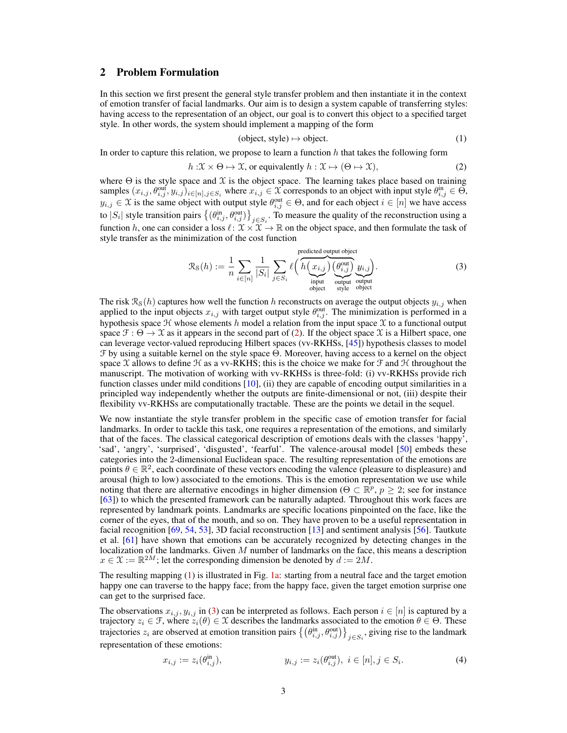# <span id="page-2-4"></span><span id="page-2-0"></span>2 Problem Formulation

In this section we first present the general style transfer problem and then instantiate it in the context of emotion transfer of facial landmarks. Our aim is to design a system capable of transferring styles: having access to the representation of an object, our goal is to convert this object to a specified target style. In other words, the system should implement a mapping of the form

<span id="page-2-3"></span><span id="page-2-2"></span><span id="page-2-1"></span>
$$
(object, style) \mapsto object. \tag{1}
$$

In order to capture this relation, we propose to learn a function  $h$  that takes the following form

$$
h: \mathfrak{X} \times \Theta \mapsto \mathfrak{X}, \text{ or equivalently } h: \mathfrak{X} \mapsto (\Theta \mapsto \mathfrak{X}), \tag{2}
$$

where  $\Theta$  is the style space and  $\chi$  is the object space. The learning takes place based on training samples  $(x_{i,j}, \theta_{i,j}^{\text{out}}, y_{i,j})_{i \in [n], j \in S_i}$  where  $x_{i,j} \in \mathcal{X}$  corresponds to an object with input style  $\theta_{i,j}^{\text{in}} \in \Theta$ ,  $y_{i,j} \in \mathcal{X}$  is the same object with output style  $\theta_{i,j}^{\text{out}} \in \Theta$ , and for each object  $i \in [n]$  we have access to  $|S_i|$  style transition pairs  $\{(\theta_{i,j}^{\text{in}}, \theta_{i,j}^{\text{out}})\}_{j \in S_i}$ . To measure the quality of the reconstruction using a function h, one can consider a loss  $\ell : \mathcal{X} \times \mathcal{X} \to \mathbb{R}$  on the object space, and then formulate the task of style transfer as the minimization of the cost function

$$
\mathcal{R}_{\mathcal{S}}(h) := \frac{1}{n} \sum_{i \in [n]} \frac{1}{|S_i|} \sum_{j \in S_i} \ell\left(\overbrace{h\left(x_{i,j}\right) \left(\theta_{i,j}^{\text{out}}\right) \left(\theta_{i,j}^{\text{out}}\right) \left(\theta_{i,j}\right)}^{\text{predicted output object}} \mathcal{Y}_{i,j}}_{\text{output output output}}\right).
$$
\n(3)

The risk  $\mathcal{R}_{S}(h)$  captures how well the function h reconstructs on average the output objects  $y_{i,j}$  when applied to the input objects  $x_{i,j}$  with target output style  $\theta_{i,j}^{\text{out}}$ . The minimization is performed in a hypothesis space  $H$  whose elements h model a relation from the input space  $X$  to a functional output space  $\mathcal{F}: \Theta \to \mathcal{X}$  as it appears in the second part of [\(2\)](#page-2-1). If the object space  $\mathcal{X}$  is a Hilbert space, one can leverage vector-valued reproducing Hilbert spaces (vv-RKHSs, [\[45\]](#page-10-4)) hypothesis classes to model F by using a suitable kernel on the style space Θ. Moreover, having access to a kernel on the object space X allows to define  $H$  as a vv-RKHS; this is the choice we make for  $\mathcal F$  and  $\mathcal H$  throughout the manuscript. The motivation of working with vv-RKHSs is three-fold: (i) vv-RKHSs provide rich function classes under mild conditions [\[10\]](#page-8-8), (ii) they are capable of encoding output similarities in a principled way independently whether the outputs are finite-dimensional or not, (iii) despite their flexibility vv-RKHSs are computationally tractable. These are the points we detail in the sequel.

We now instantiate the style transfer problem in the specific case of emotion transfer for facial landmarks. In order to tackle this task, one requires a representation of the emotions, and similarly that of the faces. The classical categorical description of emotions deals with the classes 'happy', 'sad', 'angry', 'surprised', 'disgusted', 'fearful'. The valence-arousal model [\[50\]](#page-11-6) embeds these categories into the 2-dimensional Euclidean space. The resulting representation of the emotions are points  $\theta \in \mathbb{R}^2$ , each coordinate of these vectors encoding the valence (pleasure to displeasure) and arousal (high to low) associated to the emotions. This is the emotion representation we use while noting that there are alternative encodings in higher dimension ( $\Theta \subset \mathbb{R}^p$ ,  $p \geq 2$ ; see for instance [\[63\]](#page-11-11)) to which the presented framework can be naturally adapted. Throughout this work faces are represented by landmark points. Landmarks are specific locations pinpointed on the face, like the corner of the eyes, that of the mouth, and so on. They have proven to be a useful representation in facial recognition [\[69,](#page-12-6) [54,](#page-11-12) [53\]](#page-11-13), 3D facial reconstruction [\[13\]](#page-9-13) and sentiment analysis [\[56\]](#page-11-14). Tautkute et al. [\[61\]](#page-11-7) have shown that emotions can be accurately recognized by detecting changes in the localization of the landmarks. Given  $M$  number of landmarks on the face, this means a description  $x \in \mathfrak{X} := \mathbb{R}^{2M}$ ; let the corresponding dimension be denoted by  $d := 2M$ .

The resulting mapping [\(1\)](#page-2-2) is illustrated in Fig. [1a:](#page-3-1) starting from a neutral face and the target emotion happy one can traverse to the happy face; from the happy face, given the target emotion surprise one can get to the surprised face.

The observations  $x_{i,j}$ ,  $y_{i,j}$  in [\(3\)](#page-2-3) can be interpreted as follows. Each person  $i \in [n]$  is captured by a trajectory  $z_i \in \mathcal{F}$ , where  $z_i(\theta) \in \mathcal{X}$  describes the landmarks associated to the emotion  $\theta \in \Theta$ . These trajectories  $z_i$  are observed at emotion transition pairs  $\{(\theta_{i,j}^{\text{in}}, \theta_{i,j}^{\text{out}})\}_{j\in S_i}$ , giving rise to the landmark representation of these emotions:

$$
x_{i,j} := z_i(\theta_{i,j}^{\text{in}}), \qquad y_{i,j} := z_i(\theta_{i,j}^{\text{out}}), \ i \in [n], j \in S_i. \tag{4}
$$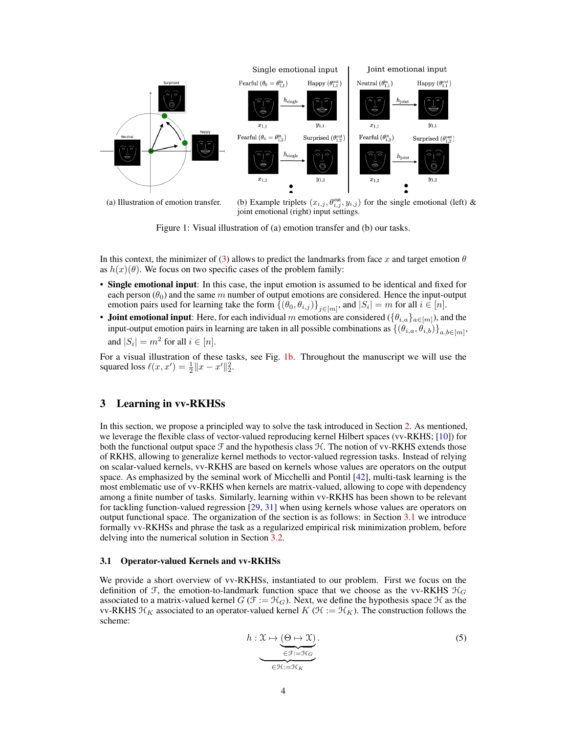<span id="page-3-4"></span><span id="page-3-1"></span>

(a) Illustration of emotion transfer. (b) Example triplets  $(x_{i,j}, \theta_{i,j}^{\text{out}}, y_{i,j})$  for the single emotional (left) & joint emotional (right) input settings.

Figure 1: Visual illustration of (a) emotion transfer and (b) our tasks.

In this context, the minimizer of [\(3\)](#page-2-3) allows to predict the landmarks from face x and target emotion  $\theta$ as  $h(x)(\theta)$ . We focus on two specific cases of the problem family:

- Single emotional input: In this case, the input emotion is assumed to be identical and fixed for each person  $(\theta_0)$  and the same m number of output emotions are considered. Hence the input-output emotion pairs used for learning take the form  $\{(\theta_0, \theta_{i,j})\}_{j \in [m]},$  and  $|S_i| = m$  for all  $i \in [n]$ .
- Joint emotional input: Here, for each individual m emotions are considered  $(\{\theta_{i,a}\}_{a\in[m]})$ , and the input-output emotion pairs in learning are taken in all possible combinations as  $\{(\theta_{i,a}, \theta_{i,b})\}_{a,b \in [m]},$ and  $|S_i| = m^2$  for all  $i \in [n]$ .

For a visual illustration of these tasks, see Fig. [1b.](#page-3-1) Throughout the manuscript we will use the squared loss  $\ell(x, x') = \frac{1}{2} ||x - x'||_2^2$ .

# <span id="page-3-0"></span>3 Learning in vv-RKHSs

In this section, we propose a principled way to solve the task introduced in Section [2.](#page-2-0) As mentioned, we leverage the flexible class of vector-valued reproducing kernel Hilbert spaces (vv-RKHS; [\[10\]](#page-8-8)) for both the functional output space  $\mathcal F$  and the hypothesis class  $\mathcal H$ . The notion of vv-RKHS extends those of RKHS, allowing to generalize kernel methods to vector-valued regression tasks. Instead of relying on scalar-valued kernels, vv-RKHS are based on kernels whose values are operators on the output space. As emphasized by the seminal work of Micchelli and Pontil [\[42\]](#page-10-5), multi-task learning is the most emblematic use of vv-RKHS when kernels are matrix-valued, allowing to cope with dependency among a finite number of tasks. Similarly, learning within vv-RKHS has been shown to be relevant for tackling function-valued regression [\[29,](#page-9-14) [31\]](#page-10-6) when using kernels whose values are operators on output functional space. The organization of the section is as follows: in Section [3.1](#page-3-2) we introduce formally vv-RKHSs and phrase the task as a regularized empirical risk minimization problem, before delving into the numerical solution in Section [3.2.](#page-4-0)

#### <span id="page-3-2"></span>3.1 Operator-valued Kernels and vv-RKHSs

We provide a short overview of vv-RKHSs, instantiated to our problem. First we focus on the definition of F, the emotion-to-landmark function space that we choose as the vv-RKHS  $\mathcal{H}_G$ associated to a matrix-valued kernel  $G(\mathcal{F} := \mathcal{H}_G)$ . Next, we define the hypothesis space  $\mathcal{H}$  as the vv-RKHS  $\mathcal{H}_K$  associated to an operator-valued kernel  $K (\mathcal{H} := \mathcal{H}_K)$ . The construction follows the scheme:

<span id="page-3-3"></span>
$$
h: \mathfrak{X} \mapsto \underbrace{(\Theta \mapsto \mathfrak{X})}_{\in \mathcal{F} : = \mathcal{H}_G}.
$$
\n<sup>(5)</sup>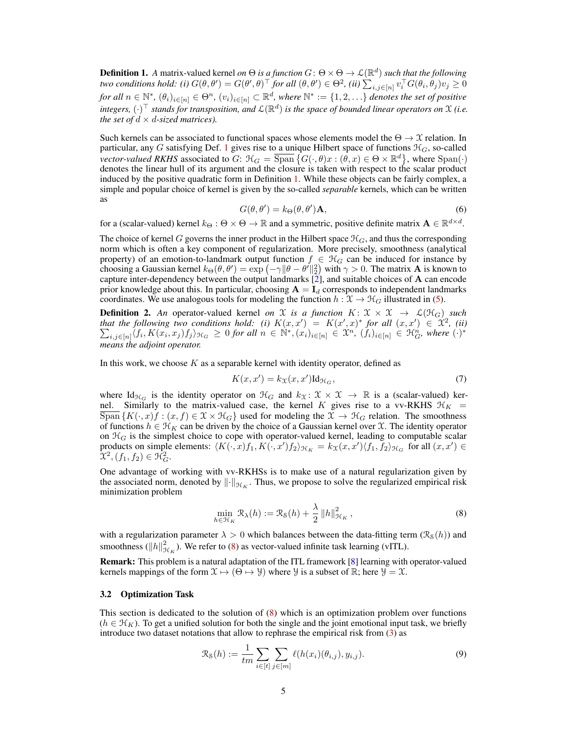<span id="page-4-3"></span><span id="page-4-1"></span>**Definition 1.** A matrix-valued kernel *on*  $\Theta$  *is a function*  $G: \Theta \times \Theta \to \mathcal{L}(\mathbb{R}^d)$  *such that the following two conditions hold: (i)*  $G(\theta, \theta') = G(\theta', \theta)^\top$  *for all*  $(\theta, \theta') \in \Theta^2$ , *(ii)*  $\sum_{i,j \in [n]} v_i^\top G(\theta_i, \theta_j) v_j \geq 0$  $for\ all\ n\in\mathbb{N}^*,\ (\theta_i)_{i\in[n]}\in\Theta^n,\ (v_i)_{i\in[n]}\subset\mathbb{R}^d,$  where  $\mathbb{N}^*:=\{1,2,\ldots\}$  denotes the set of positive integers,  $(\cdot)^\top$  stands for transposition, and  $\mathcal{L}(\mathbb{R}^d)$  is the space of bounded linear operators on X (i.e. *the set of*  $d \times d$ *-sized matrices).* 

Such kernels can be associated to functional spaces whose elements model the  $\Theta \to \mathfrak{X}$  relation. In particular, any G satisfying Def. [1](#page-4-1) gives rise to a unique Hilbert space of functions  $\mathcal{H}_G$ , so-called *vector-valued RKHS* associated to  $G: \mathcal{H}_G = \overline{\text{Span}} \{ G(\cdot,\theta)x : (\theta,x) \in \Theta \times \mathbb{R}^d \}$ , where  $\text{Span}(\cdot)$ denotes the linear hull of its argument and the closure is taken with respect to the scalar product induced by the positive quadratic form in Definition [1.](#page-4-1) While these objects can be fairly complex, a simple and popular choice of kernel is given by the so-called *separable* kernels, which can be written as

$$
G(\theta, \theta') = k_{\Theta}(\theta, \theta') \mathbf{A},\tag{6}
$$

<span id="page-4-4"></span>for a (scalar-valued) kernel  $k_{\Theta}: \Theta \times \Theta \to \mathbb{R}$  and a symmetric, positive definite matrix  $\mathbf{A} \in \mathbb{R}^{d \times d}$ .

The choice of kernel G governs the inner product in the Hilbert space  $\mathcal{H}_G$ , and thus the corresponding norm which is often a key component of regularization. More precisely, smoothness (analytical property) of an emotion-to-landmark output function  $f \in H_G$  can be induced for instance by choosing a Gaussian kernel  $k_{\Theta}(\theta, \theta') = \exp(-\gamma ||\theta - \theta'||_2^2)$  with  $\gamma > 0$ . The matrix **A** is known to capture inter-dependency between the output landmarks  $\overline{[2]}$  $\overline{[2]}$  $\overline{[2]}$ , and suitable choices of A can encode prior knowledge about this. In particular, choosing  $A = I_d$  corresponds to independent landmarks coordinates. We use analogous tools for modeling the function  $h : \mathcal{X} \to \mathcal{H}_G$  illustrated in [\(5\)](#page-3-3).

**Definition 2.** An operator-valued kernel *on* X *is a function*  $K: \mathcal{X} \times \mathcal{X} \to \mathcal{L}(\mathcal{H}_G)$  *such that the following two conditions hold:* (*i*)  $K(x, x') = K(x', x)^*$  *for all*  $(x, x') \in \mathcal{X}^2$ P *, (ii)*  $\lim_{i,j\in[n]}\langle f_i,K(x_i,x_j)f_j\rangle_{\mathcal{H}_G}\ \geq\ 0$  for all  $n\in\mathbb{N}^*,(x_i)_{i\in[n]}\in\mathfrak{X}^n, (f_i)_{i\in[n]}\in\mathfrak{H}^n_G$ , where  $(\cdot)^*$ *means the adjoint operator.*

In this work, we choose  $K$  as a separable kernel with identity operator, defined as

$$
K(x, x') = k_{\mathfrak{X}}(x, x') \mathrm{Id}_{\mathcal{H}_G},\tag{7}
$$

where  $\text{Id}_{\mathcal{H}_G}$  is the identity operator on  $\mathcal{H}_G$  and  $k_{\mathfrak{X}}: \mathfrak{X} \times \mathfrak{X} \to \mathbb{R}$  is a (scalar-valued) kernel. Similarly to the matrix-valued case, the kernel K gives rise to a vv-RKHS  $\mathcal{H}_K$  =  $\overline{\text{Span}}\{K(\cdot,x)f:(x,f)\in\mathfrak{X}\times\mathfrak{H}_G\}$  used for modeling the  $\mathfrak{X}\to\mathfrak{H}_G$  relation. The smoothness of functions  $h \in \mathcal{H}_K$  can be driven by the choice of a Gaussian kernel over X. The identity operator on  $H_G$  is the simplest choice to cope with operator-valued kernel, leading to computable scalar products on simple elements:  $\langle K(\cdot, x)f_1, K(\cdot, x')f_2 \rangle_{\mathcal{H}_K} = k_X(x, x') \langle f_1, f_2 \rangle_{\mathcal{H}_G}$  for all  $(x, x') \in$  $\mathfrak{X}^{2},(f_{1},f_{2})\in \mathfrak{H}_{G}^{2}.$ 

One advantage of working with vv-RKHSs is to make use of a natural regularization given by the associated norm, denoted by  $\|\cdot\|_{\mathcal{H}_K}$ . Thus, we propose to solve the regularized empirical risk minimization problem

<span id="page-4-2"></span>
$$
\min_{h \in \mathcal{H}_K} \mathcal{R}_{\lambda}(h) := \mathcal{R}_{\mathcal{S}}(h) + \frac{\lambda}{2} ||h||_{\mathcal{H}_K}^2,
$$
\n(8)

with a regularization parameter  $\lambda > 0$  which balances between the data-fitting term ( $\mathcal{R}_{S}(h)$ ) and smoothness ( $||h||^2_{\mathcal{H}_K}$ ). We refer to [\(8\)](#page-4-2) as vector-valued infinite task learning (vITL).

Remark: This problem is a natural adaptation of the ITL framework [\[8\]](#page-8-6) learning with operator-valued kernels mappings of the form  $\mathcal{X} \mapsto (\Theta \mapsto \mathcal{Y})$  where  $\mathcal{Y}$  is a subset of  $\mathbb{R}$ ; here  $\mathcal{Y} = \mathcal{X}$ .

## <span id="page-4-0"></span>3.2 Optimization Task

This section is dedicated to the solution of [\(8\)](#page-4-2) which is an optimization problem over functions  $(h \in \mathcal{H}_K)$ . To get a unified solution for both the single and the joint emotional input task, we briefly introduce two dataset notations that allow to rephrase the empirical risk from [\(3\)](#page-2-3) as

$$
\mathcal{R}_{\mathcal{S}}(h) := \frac{1}{tm} \sum_{i \in [t]} \sum_{j \in [m]} \ell(h(x_i)(\theta_{i,j}), y_{i,j}).
$$
\n(9)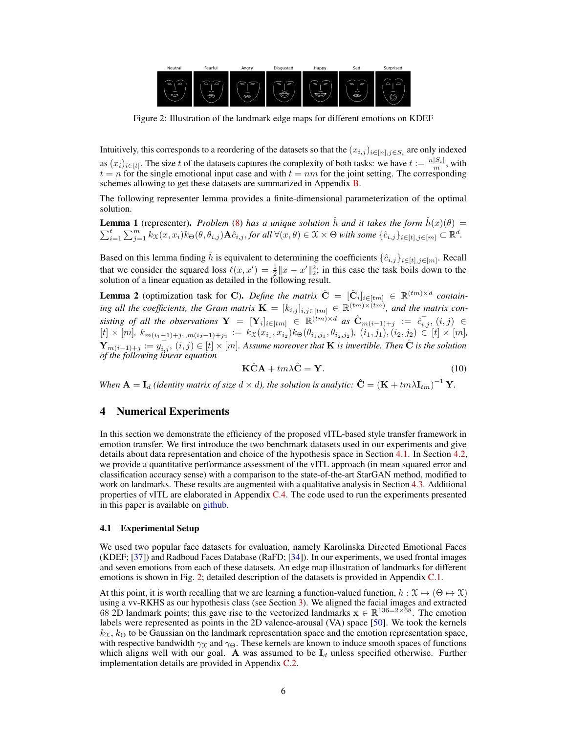<span id="page-5-3"></span><span id="page-5-2"></span>

Figure 2: Illustration of the landmark edge maps for different emotions on KDEF

Intuitively, this corresponds to a reordering of the datasets so that the  $(x_{i,j})_{i\in[n],j\in S_i}$  are only indexed as  $(x_i)_{i\in[t]}$ . The size t of the datasets captures the complexity of both tasks: we have  $t := \frac{n|S_i|}{m}$ , with  $t = n$  for the single emotional input case and with  $t = nm$  for the joint setting. The corresponding schemes allowing to get these datasets are summarized in Appendix [B.](#page-13-0)

The following representer lemma provides a finite-dimensional parameterization of the optimal solution.

<span id="page-5-4"></span>**Lemma 1** (representer). *Problem* [\(8\)](#page-4-2) *has a unique solution*  $\hat{h}$  *and it takes the form*  $\hat{h}(x)(\theta) =$  $\sum_{i=1}^t \sum_{j=1}^m k_{\mathfrak{X}}(x,x_i) k_{\Theta}(\theta, \theta_{i,j}) \mathbf{A} \hat{c}_{i,j}$ , *for all*  $\forall (x,\theta) \in \mathfrak{X} \times \Theta$  with some  $\{\hat{c}_{i,j}\}_{i \in [t],j \in [m]} \subset \mathbb{R}^d$ .

Based on this lemma finding  $\hat{h}$  is equivalent to determining the coefficients  $\{\hat{c}_{i,j}\}_{i\in[t],j\in[m]}$ . Recall that we consider the squared loss  $\ell(x, x') = \frac{1}{2} ||x - x'||_2^2$ ; in this case the task boils down to the solution of a linear equation as detailed in the following result.

<span id="page-5-5"></span>**Lemma 2** (optimization task for C). *Define the matrix*  $\hat{\mathbf{C}} = [\hat{\mathbf{C}}_i]_{i \in [tm]} \in \mathbb{R}^{(tm) \times d}$  containing all the coefficients, the Gram matrix  $\mathbf{K} = [k_{i,j}]_{i,j \in [tm]} \in \mathbb{R}^{(tm) \times (tm)}$ , and the matrix consisting of all the observations  $Y = [Y_i]_{i \in [tm]} \in \mathbb{R}^{(tm) \times d}$  as  $\hat{C}_{m(i-1)+j} := \hat{c}_{i,j}^{\top}, (i,j) \in$  $[t] \times [m]$ ,  $k_{m(i_1-1)+j_1,m(i_2-1)+j_2} := k_{\mathcal{X}}(x_{i_1},x_{i_2}) k_{\Theta}(\theta_{i_1,j_1},\theta_{i_2,j_2}), (i_1,j_1),(i_2,j_2) \in [t] \times [m]$ ,  $\mathbf{Y}_{m(i-1)+j} := y_{i,j}^{\top}$ ,  $(i, j) \in [t] \times [m]$ . Assume moreover that **K** is invertible. Then  $\hat{\mathbf{C}}$  is the solution *of the following linear equation*

<span id="page-5-6"></span>
$$
\hat{\mathbf{KCA}} + tm\lambda \hat{\mathbf{C}} = \mathbf{Y}.
$$
 (10)

*When*  $\mathbf{A} = \mathbf{I}_d$  *(identity matrix of size*  $d \times d$ *), the solution is analytic:*  $\hat{\mathbf{C}} = (\mathbf{K} + t m \lambda \mathbf{I}_{tm})^{-1} \mathbf{Y}$ .

# <span id="page-5-0"></span>4 Numerical Experiments

In this section we demonstrate the efficiency of the proposed vITL-based style transfer framework in emotion transfer. We first introduce the two benchmark datasets used in our experiments and give details about data representation and choice of the hypothesis space in Section [4.1.](#page-5-1) In Section [4.2,](#page-6-0) we provide a quantitative performance assessment of the vITL approach (in mean squared error and classification accuracy sense) with a comparison to the state-of-the-art StarGAN method, modified to work on landmarks. These results are augmented with a qualitative analysis in Section [4.3.](#page-6-1) Additional properties of vITL are elaborated in Appendix [C.4.](#page-15-0) The code used to run the experiments presented in this paper is available on [github.](https://github.com/allambert/torch_itl/tree/master/demos/emotion_transfer)

## <span id="page-5-1"></span>4.1 Experimental Setup

We used two popular face datasets for evaluation, namely Karolinska Directed Emotional Faces (KDEF; [\[37\]](#page-10-7)) and Radboud Faces Database (RaFD; [\[34\]](#page-10-8)). In our experiments, we used frontal images and seven emotions from each of these datasets. An edge map illustration of landmarks for different emotions is shown in Fig. [2;](#page-5-2) detailed description of the datasets is provided in Appendix [C.1.](#page-14-0)

At this point, it is worth recalling that we are learning a function-valued function,  $h : \mathfrak{X} \mapsto (\Theta \mapsto \mathfrak{X})$ using a vv-RKHS as our hypothesis class (see Section [3\)](#page-3-0). We aligned the facial images and extracted 68 2D landmark points; this gave rise to the vectorized landmarks  $x \in \mathbb{R}^{136=2\times 68}$ . The emotion labels were represented as points in the 2D valence-arousal (VA) space [\[50\]](#page-11-6). We took the kernels  $k_{\text{X}}$ ,  $k_{\Theta}$  to be Gaussian on the landmark representation space and the emotion representation space, with respective bandwidth  $\gamma_X$  and  $\gamma_{\Theta}$ . These kernels are known to induce smooth spaces of functions which aligns well with our goal. A was assumed to be  $I_d$  unless specified otherwise. Further implementation details are provided in Appendix [C.2.](#page-15-1)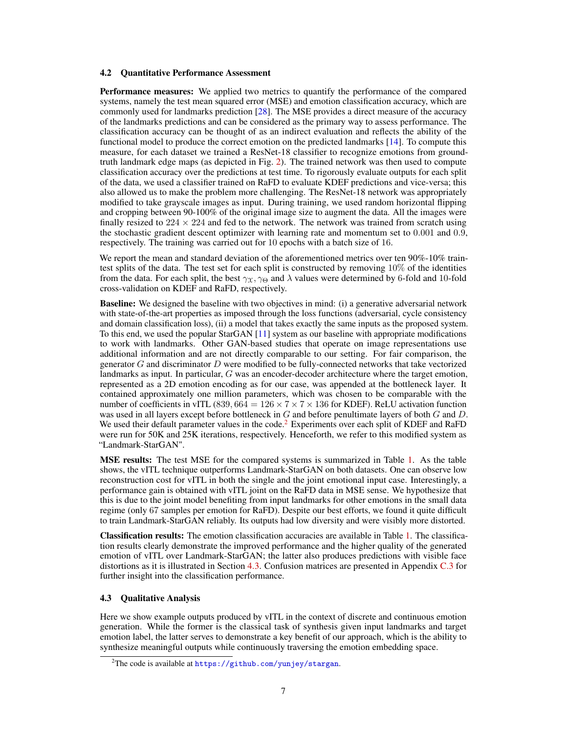## <span id="page-6-3"></span><span id="page-6-0"></span>4.2 Quantitative Performance Assessment

Performance measures: We applied two metrics to quantify the performance of the compared systems, namely the test mean squared error (MSE) and emotion classification accuracy, which are commonly used for landmarks prediction [\[28\]](#page-9-6). The MSE provides a direct measure of the accuracy of the landmarks predictions and can be considered as the primary way to assess performance. The classification accuracy can be thought of as an indirect evaluation and reflects the ability of the functional model to produce the correct emotion on the predicted landmarks [\[14\]](#page-9-7). To compute this measure, for each dataset we trained a ResNet-18 classifier to recognize emotions from groundtruth landmark edge maps (as depicted in Fig. [2\)](#page-5-2). The trained network was then used to compute classification accuracy over the predictions at test time. To rigorously evaluate outputs for each split of the data, we used a classifier trained on RaFD to evaluate KDEF predictions and vice-versa; this also allowed us to make the problem more challenging. The ResNet-18 network was appropriately modified to take grayscale images as input. During training, we used random horizontal flipping and cropping between 90-100% of the original image size to augment the data. All the images were finally resized to  $224 \times 224$  and fed to the network. The network was trained from scratch using the stochastic gradient descent optimizer with learning rate and momentum set to 0.001 and 0.9, respectively. The training was carried out for 10 epochs with a batch size of 16.

We report the mean and standard deviation of the aforementioned metrics over ten 90%-10% traintest splits of the data. The test set for each split is constructed by removing 10% of the identities from the data. For each split, the best  $\gamma_x, \gamma_\Theta$  and  $\lambda$  values were determined by 6-fold and 10-fold cross-validation on KDEF and RaFD, respectively.

**Baseline:** We designed the baseline with two objectives in mind: (i) a generative adversarial network with state-of-the-art properties as imposed through the loss functions (adversarial, cycle consistency and domain classification loss), (ii) a model that takes exactly the same inputs as the proposed system. To this end, we used the popular StarGAN [\[11\]](#page-8-0) system as our baseline with appropriate modifications to work with landmarks. Other GAN-based studies that operate on image representations use additional information and are not directly comparable to our setting. For fair comparison, the generator  $G$  and discriminator  $D$  were modified to be fully-connected networks that take vectorized landmarks as input. In particular, G was an encoder-decoder architecture where the target emotion, represented as a 2D emotion encoding as for our case, was appended at the bottleneck layer. It contained approximately one million parameters, which was chosen to be comparable with the number of coefficients in vITL (839,  $664 = 126 \times 7 \times 7 \times 136$  for KDEF). ReLU activation function was used in all layers except before bottleneck in  $G$  and before penultimate layers of both  $G$  and  $D$ . We used their default parameter values in the code.<sup>[2](#page-6-2)</sup> Experiments over each split of KDEF and RaFD were run for 50K and 25K iterations, respectively. Henceforth, we refer to this modified system as "Landmark-StarGAN".

MSE results: The test MSE for the compared systems is summarized in Table [1.](#page-7-1) As the table shows, the vITL technique outperforms Landmark-StarGAN on both datasets. One can observe low reconstruction cost for vITL in both the single and the joint emotional input case. Interestingly, a performance gain is obtained with vITL joint on the RaFD data in MSE sense. We hypothesize that this is due to the joint model benefiting from input landmarks for other emotions in the small data regime (only 67 samples per emotion for RaFD). Despite our best efforts, we found it quite difficult to train Landmark-StarGAN reliably. Its outputs had low diversity and were visibly more distorted.

Classification results: The emotion classification accuracies are available in Table [1.](#page-7-1) The classification results clearly demonstrate the improved performance and the higher quality of the generated emotion of vITL over Landmark-StarGAN; the latter also produces predictions with visible face distortions as it is illustrated in Section [4.3.](#page-6-1) Confusion matrices are presented in Appendix [C.3](#page-15-2) for further insight into the classification performance.

## <span id="page-6-1"></span>4.3 Qualitative Analysis

Here we show example outputs produced by vITL in the context of discrete and continuous emotion generation. While the former is the classical task of synthesis given input landmarks and target emotion label, the latter serves to demonstrate a key benefit of our approach, which is the ability to synthesize meaningful outputs while continuously traversing the emotion embedding space.

<span id="page-6-2"></span><sup>2</sup>The code is available at <https://github.com/yunjey/stargan>.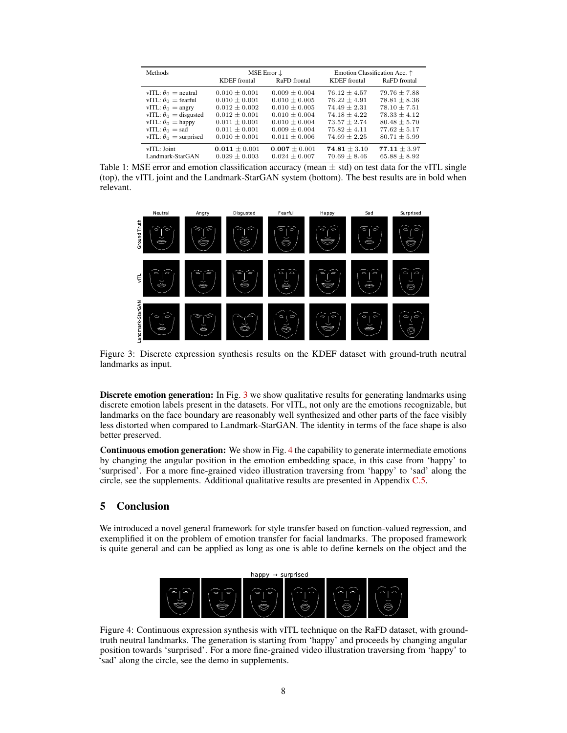<span id="page-7-1"></span>

| <b>Methods</b>               | <b>KDEF</b> frontal | MSE Error $\downarrow$<br>RaFD frontal | KDEF frontal     | Emotion Classification Acc. $\uparrow$<br>RaFD frontal |
|------------------------------|---------------------|----------------------------------------|------------------|--------------------------------------------------------|
| vITL: $\theta_0$ = neutral   | $0.010 \pm 0.001$   | $0.009 \pm 0.004$                      | $76.12 + 4.57$   | $79.76 \pm 7.88$                                       |
| vITL: $\theta_0$ = fearful   | $0.010 + 0.001$     | $0.010 + 0.005$                        | $76.22 + 4.91$   | $78.81 + 8.36$                                         |
| vITL: $\theta_0$ = angry     | $0.012 \pm 0.002$   | $0.010 \pm 0.005$                      | $74.49 + 2.31$   | $78.10 \pm 7.51$                                       |
| vITL: $\theta_0$ = disgusted | $0.012 \pm 0.001$   | $0.010 \pm 0.004$                      | $74.18 \pm 4.22$ | $78.33 \pm 4.12$                                       |
| vITL: $\theta_0 =$ happy     | $0.011 \pm 0.001$   | $0.010 \pm 0.004$                      | $73.57 \pm 2.74$ | $80.48 \pm 5.70$                                       |
| vITL: $\theta_0$ = sad       | $0.011 \pm 0.001$   | $0.009 + 0.004$                        | $75.82 + 4.11$   | $77.62 + 5.17$                                         |
| vITL: $\theta_0$ = surprised | $0.010 \pm 0.001$   | $0.011 + 0.006$                        | $74.69 + 2.25$   | $80.71 + 5.99$                                         |
| vITI : Joint                 | $0.011 + 0.001$     | $0.007 \pm 0.001$                      | $74.81 + 3.10$   | $77.11 \pm 3.97$                                       |
| Landmark-StarGAN             | $0.029 \pm 0.003$   | $0.024 \pm 0.007$                      | $70.69 + 8.46$   | $65.88 \pm 8.92$                                       |

Table 1: MSE error and emotion classification accuracy (mean  $\pm$  std) on test data for the vITL single (top), the vITL joint and the Landmark-StarGAN system (bottom). The best results are in bold when relevant.

<span id="page-7-2"></span>

Figure 3: Discrete expression synthesis results on the KDEF dataset with ground-truth neutral landmarks as input.

Discrete emotion generation: In Fig. [3](#page-7-2) we show qualitative results for generating landmarks using discrete emotion labels present in the datasets. For vITL, not only are the emotions recognizable, but landmarks on the face boundary are reasonably well synthesized and other parts of the face visibly less distorted when compared to Landmark-StarGAN. The identity in terms of the face shape is also better preserved.

Continuous emotion generation: We show in Fig. [4](#page-7-3) the capability to generate intermediate emotions by changing the angular position in the emotion embedding space, in this case from 'happy' to 'surprised'. For a more fine-grained video illustration traversing from 'happy' to 'sad' along the circle, see the supplements. Additional qualitative results are presented in Appendix [C.5.](#page-17-0)

# <span id="page-7-0"></span>5 Conclusion

<span id="page-7-3"></span>We introduced a novel general framework for style transfer based on function-valued regression, and exemplified it on the problem of emotion transfer for facial landmarks. The proposed framework is quite general and can be applied as long as one is able to define kernels on the object and the



Figure 4: Continuous expression synthesis with vITL technique on the RaFD dataset, with groundtruth neutral landmarks. The generation is starting from 'happy' and proceeds by changing angular position towards 'surprised'. For a more fine-grained video illustration traversing from 'happy' to 'sad' along the circle, see the demo in supplements.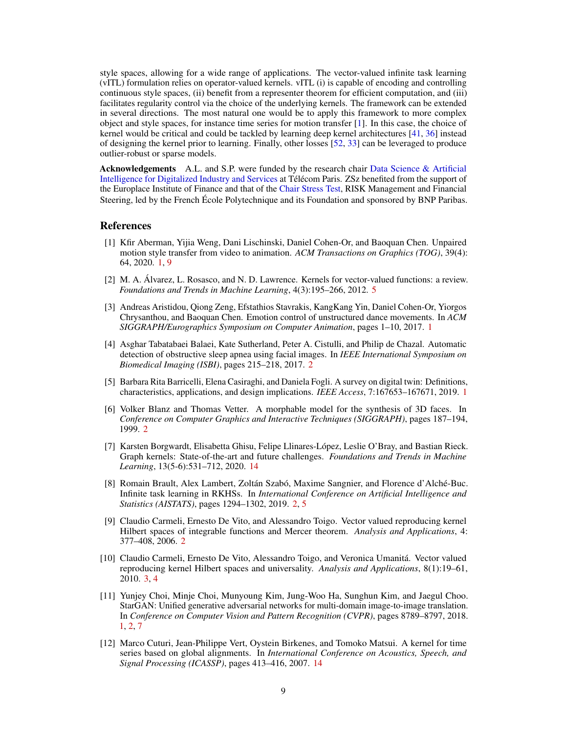<span id="page-8-10"></span>style spaces, allowing for a wide range of applications. The vector-valued infinite task learning (vITL) formulation relies on operator-valued kernels. vITL (i) is capable of encoding and controlling continuous style spaces, (ii) benefit from a representer theorem for efficient computation, and (iii) facilitates regularity control via the choice of the underlying kernels. The framework can be extended in several directions. The most natural one would be to apply this framework to more complex object and style spaces, for instance time series for motion transfer [\[1\]](#page-8-2). In this case, the choice of kernel would be critical and could be tackled by learning deep kernel architectures [\[41,](#page-10-9) [36\]](#page-10-10) instead of designing the kernel prior to learning. Finally, other losses [\[52,](#page-11-15) [33\]](#page-10-11) can be leveraged to produce outlier-robust or sparse models.

Acknowledgements A.L. and S.P. were funded by the research chair [Data Science & Artificial](https://datascienceandai.wp.imt.fr/en/home-2/) [Intelligence for Digitalized Industry and Services](https://datascienceandai.wp.imt.fr/en/home-2/) at Télécom Paris. ZSz benefited from the support of the Europlace Institute of Finance and that of the [Chair Stress Test,](http://www.cmap.polytechnique.fr/~stresstest/) RISK Management and Financial Steering, led by the French École Polytechnique and its Foundation and sponsored by BNP Paribas.

## **References**

- <span id="page-8-2"></span>[1] Kfir Aberman, Yijia Weng, Dani Lischinski, Daniel Cohen-Or, and Baoquan Chen. Unpaired motion style transfer from video to animation. *ACM Transactions on Graphics (TOG)*, 39(4): 64, 2020. [1,](#page-0-0) [9](#page-8-10)
- <span id="page-8-9"></span>[2] M. A. Álvarez, L. Rosasco, and N. D. Lawrence. Kernels for vector-valued functions: a review. *Foundations and Trends in Machine Learning*, 4(3):195–266, 2012. [5](#page-4-3)
- <span id="page-8-1"></span>[3] Andreas Aristidou, Qiong Zeng, Efstathios Stavrakis, KangKang Yin, Daniel Cohen-Or, Yiorgos Chrysanthou, and Baoquan Chen. Emotion control of unstructured dance movements. In *ACM SIGGRAPH/Eurographics Symposium on Computer Animation*, pages 1–10, 2017. [1](#page-0-0)
- <span id="page-8-4"></span>[4] Asghar Tabatabaei Balaei, Kate Sutherland, Peter A. Cistulli, and Philip de Chazal. Automatic detection of obstructive sleep apnea using facial images. In *IEEE International Symposium on Biomedical Imaging (ISBI)*, pages 215–218, 2017. [2](#page-1-0)
- <span id="page-8-3"></span>[5] Barbara Rita Barricelli, Elena Casiraghi, and Daniela Fogli. A survey on digital twin: Definitions, characteristics, applications, and design implications. *IEEE Access*, 7:167653–167671, 2019. [1](#page-0-0)
- <span id="page-8-5"></span>[6] Volker Blanz and Thomas Vetter. A morphable model for the synthesis of 3D faces. In *Conference on Computer Graphics and Interactive Techniques (SIGGRAPH)*, pages 187–194, 1999. [2](#page-1-0)
- <span id="page-8-12"></span>[7] Karsten Borgwardt, Elisabetta Ghisu, Felipe Llinares-López, Leslie O'Bray, and Bastian Rieck. Graph kernels: State-of-the-art and future challenges. *Foundations and Trends in Machine Learning*, 13(5-6):531–712, 2020. [14](#page-13-1)
- <span id="page-8-6"></span>[8] Romain Brault, Alex Lambert, Zoltán Szabó, Maxime Sangnier, and Florence d'Alché-Buc. Infinite task learning in RKHSs. In *International Conference on Artificial Intelligence and Statistics (AISTATS)*, pages 1294–1302, 2019. [2,](#page-1-0) [5](#page-4-3)
- <span id="page-8-7"></span>[9] Claudio Carmeli, Ernesto De Vito, and Alessandro Toigo. Vector valued reproducing kernel Hilbert spaces of integrable functions and Mercer theorem. *Analysis and Applications*, 4: 377–408, 2006. [2](#page-1-0)
- <span id="page-8-8"></span>[10] Claudio Carmeli, Ernesto De Vito, Alessandro Toigo, and Veronica Umanitá. Vector valued reproducing kernel Hilbert spaces and universality. *Analysis and Applications*, 8(1):19–61, 2010. [3,](#page-2-4) [4](#page-3-4)
- <span id="page-8-0"></span>[11] Yunjey Choi, Minje Choi, Munyoung Kim, Jung-Woo Ha, Sunghun Kim, and Jaegul Choo. StarGAN: Unified generative adversarial networks for multi-domain image-to-image translation. In *Conference on Computer Vision and Pattern Recognition (CVPR)*, pages 8789–8797, 2018. [1,](#page-0-0) [2,](#page-1-0) [7](#page-6-3)
- <span id="page-8-11"></span>[12] Marco Cuturi, Jean-Philippe Vert, Oystein Birkenes, and Tomoko Matsui. A kernel for time series based on global alignments. In *International Conference on Acoustics, Speech, and Signal Processing (ICASSP)*, pages 413–416, 2007. [14](#page-13-1)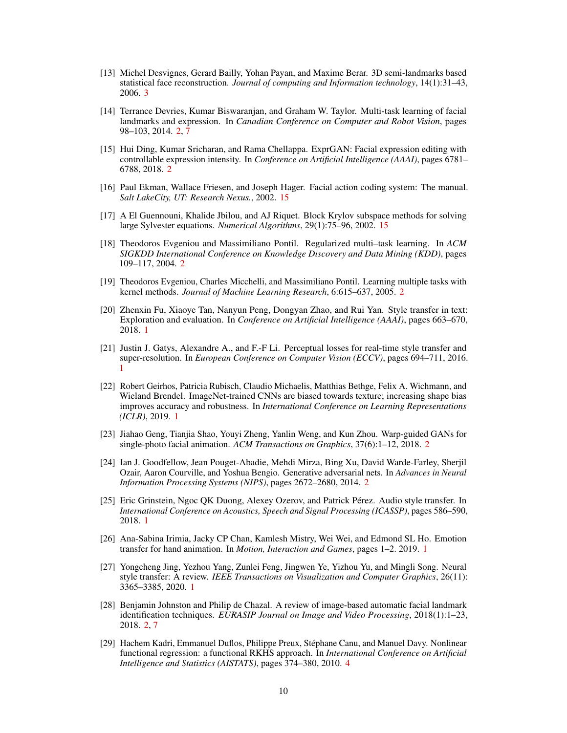- <span id="page-9-13"></span>[13] Michel Desvignes, Gerard Bailly, Yohan Payan, and Maxime Berar. 3D semi-landmarks based statistical face reconstruction. *Journal of computing and Information technology*, 14(1):31–43, 2006. [3](#page-2-4)
- <span id="page-9-7"></span>[14] Terrance Devries, Kumar Biswaranjan, and Graham W. Taylor. Multi-task learning of facial landmarks and expression. In *Canadian Conference on Computer and Robot Vision*, pages 98–103, 2014. [2,](#page-1-0) [7](#page-6-3)
- <span id="page-9-9"></span>[15] Hui Ding, Kumar Sricharan, and Rama Chellappa. ExprGAN: Facial expression editing with controllable expression intensity. In *Conference on Artificial Intelligence (AAAI)*, pages 6781– 6788, 2018. [2](#page-1-0)
- <span id="page-9-16"></span>[16] Paul Ekman, Wallace Friesen, and Joseph Hager. Facial action coding system: The manual. *Salt LakeCity, UT: Research Nexus.*, 2002. [15](#page-14-1)
- <span id="page-9-15"></span>[17] A El Guennouni, Khalide Jbilou, and AJ Riquet. Block Krylov subspace methods for solving large Sylvester equations. *Numerical Algorithms*, 29(1):75–96, 2002. [15](#page-14-1)
- <span id="page-9-11"></span>[18] Theodoros Evgeniou and Massimiliano Pontil. Regularized multi–task learning. In *ACM SIGKDD International Conference on Knowledge Discovery and Data Mining (KDD)*, pages 109–117, 2004. [2](#page-1-0)
- <span id="page-9-12"></span>[19] Theodoros Evgeniou, Charles Micchelli, and Massimiliano Pontil. Learning multiple tasks with kernel methods. *Journal of Machine Learning Research*, 6:615–637, 2005. [2](#page-1-0)
- <span id="page-9-2"></span>[20] Zhenxin Fu, Xiaoye Tan, Nanyun Peng, Dongyan Zhao, and Rui Yan. Style transfer in text: Exploration and evaluation. In *Conference on Artificial Intelligence (AAAI)*, pages 663–670, 2018. [1](#page-0-0)
- <span id="page-9-0"></span>[21] Justin J. Gatys, Alexandre A., and F.-F Li. Perceptual losses for real-time style transfer and super-resolution. In *European Conference on Computer Vision (ECCV)*, pages 694–711, 2016. [1](#page-0-0)
- <span id="page-9-4"></span>[22] Robert Geirhos, Patricia Rubisch, Claudio Michaelis, Matthias Bethge, Felix A. Wichmann, and Wieland Brendel. ImageNet-trained CNNs are biased towards texture; increasing shape bias improves accuracy and robustness. In *International Conference on Learning Representations (ICLR)*, 2019. [1](#page-0-0)
- <span id="page-9-10"></span>[23] Jiahao Geng, Tianjia Shao, Youyi Zheng, Yanlin Weng, and Kun Zhou. Warp-guided GANs for single-photo facial animation. *ACM Transactions on Graphics*, 37(6):1–12, 2018. [2](#page-1-0)
- <span id="page-9-8"></span>[24] Ian J. Goodfellow, Jean Pouget-Abadie, Mehdi Mirza, Bing Xu, David Warde-Farley, Sherjil Ozair, Aaron Courville, and Yoshua Bengio. Generative adversarial nets. In *Advances in Neural Information Processing Systems (NIPS)*, pages 2672–2680, 2014. [2](#page-1-0)
- <span id="page-9-3"></span>[25] Eric Grinstein, Ngoc QK Duong, Alexey Ozerov, and Patrick Pérez. Audio style transfer. In *International Conference on Acoustics, Speech and Signal Processing (ICASSP)*, pages 586–590, 2018. [1](#page-0-0)
- <span id="page-9-5"></span>[26] Ana-Sabina Irimia, Jacky CP Chan, Kamlesh Mistry, Wei Wei, and Edmond SL Ho. Emotion transfer for hand animation. In *Motion, Interaction and Games*, pages 1–2. 2019. [1](#page-0-0)
- <span id="page-9-1"></span>[27] Yongcheng Jing, Yezhou Yang, Zunlei Feng, Jingwen Ye, Yizhou Yu, and Mingli Song. Neural style transfer: A review. *IEEE Transactions on Visualization and Computer Graphics*, 26(11): 3365–3385, 2020. [1](#page-0-0)
- <span id="page-9-6"></span>[28] Benjamin Johnston and Philip de Chazal. A review of image-based automatic facial landmark identification techniques. *EURASIP Journal on Image and Video Processing*, 2018(1):1–23, 2018. [2,](#page-1-0) [7](#page-6-3)
- <span id="page-9-14"></span>[29] Hachem Kadri, Emmanuel Duflos, Philippe Preux, Stéphane Canu, and Manuel Davy. Nonlinear functional regression: a functional RKHS approach. In *International Conference on Artificial Intelligence and Statistics (AISTATS)*, pages 374–380, 2010. [4](#page-3-4)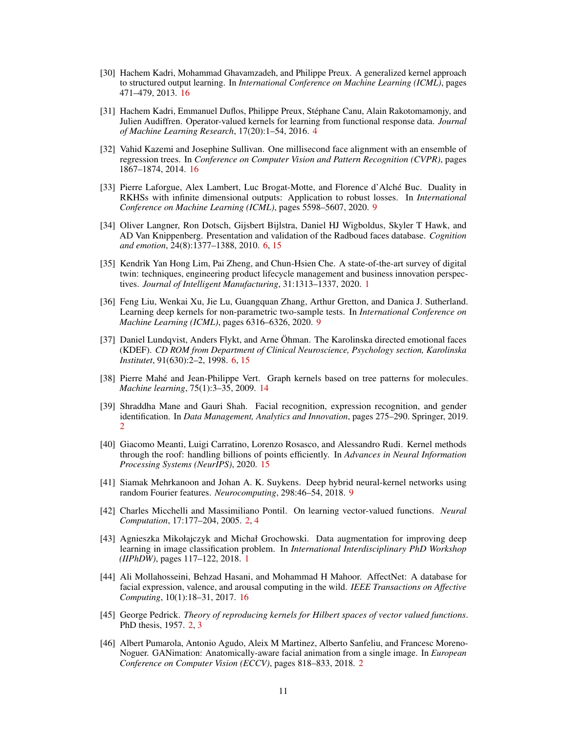- <span id="page-10-16"></span>[30] Hachem Kadri, Mohammad Ghavamzadeh, and Philippe Preux. A generalized kernel approach to structured output learning. In *International Conference on Machine Learning (ICML)*, pages 471–479, 2013. [16](#page-15-3)
- <span id="page-10-6"></span>[31] Hachem Kadri, Emmanuel Duflos, Philippe Preux, Stéphane Canu, Alain Rakotomamonjy, and Julien Audiffren. Operator-valued kernels for learning from functional response data. *Journal of Machine Learning Research*, 17(20):1–54, 2016. [4](#page-3-4)
- <span id="page-10-14"></span>[32] Vahid Kazemi and Josephine Sullivan. One millisecond face alignment with an ensemble of regression trees. In *Conference on Computer Vision and Pattern Recognition (CVPR)*, pages 1867–1874, 2014. [16](#page-15-3)
- <span id="page-10-11"></span>[33] Pierre Laforgue, Alex Lambert, Luc Brogat-Motte, and Florence d'Alché Buc. Duality in RKHSs with infinite dimensional outputs: Application to robust losses. In *International Conference on Machine Learning (ICML)*, pages 5598–5607, 2020. [9](#page-8-10)
- <span id="page-10-8"></span>[34] Oliver Langner, Ron Dotsch, Gijsbert Bijlstra, Daniel HJ Wigboldus, Skyler T Hawk, and AD Van Knippenberg. Presentation and validation of the Radboud faces database. *Cognition and emotion*, 24(8):1377–1388, 2010. [6,](#page-5-3) [15](#page-14-1)
- <span id="page-10-1"></span>[35] Kendrik Yan Hong Lim, Pai Zheng, and Chun-Hsien Che. A state-of-the-art survey of digital twin: techniques, engineering product lifecycle management and business innovation perspectives. *Journal of Intelligent Manufacturing*, 31:1313–1337, 2020. [1](#page-0-0)
- <span id="page-10-10"></span>[36] Feng Liu, Wenkai Xu, Jie Lu, Guangquan Zhang, Arthur Gretton, and Danica J. Sutherland. Learning deep kernels for non-parametric two-sample tests. In *International Conference on Machine Learning (ICML)*, pages 6316–6326, 2020. [9](#page-8-10)
- <span id="page-10-7"></span>[37] Daniel Lundqvist, Anders Flykt, and Arne Öhman. The Karolinska directed emotional faces (KDEF). *CD ROM from Department of Clinical Neuroscience, Psychology section, Karolinska Institutet*, 91(630):2–2, 1998. [6,](#page-5-3) [15](#page-14-1)
- <span id="page-10-12"></span>[38] Pierre Mahé and Jean-Philippe Vert. Graph kernels based on tree patterns for molecules. *Machine learning*, 75(1):3–35, 2009. [14](#page-13-1)
- <span id="page-10-2"></span>[39] Shraddha Mane and Gauri Shah. Facial recognition, expression recognition, and gender identification. In *Data Management, Analytics and Innovation*, pages 275–290. Springer, 2019. [2](#page-1-0)
- <span id="page-10-13"></span>[40] Giacomo Meanti, Luigi Carratino, Lorenzo Rosasco, and Alessandro Rudi. Kernel methods through the roof: handling billions of points efficiently. In *Advances in Neural Information Processing Systems (NeurIPS)*, 2020. [15](#page-14-1)
- <span id="page-10-9"></span>[41] Siamak Mehrkanoon and Johan A. K. Suykens. Deep hybrid neural-kernel networks using random Fourier features. *Neurocomputing*, 298:46–54, 2018. [9](#page-8-10)
- <span id="page-10-5"></span>[42] Charles Micchelli and Massimiliano Pontil. On learning vector-valued functions. *Neural Computation*, 17:177–204, 2005. [2,](#page-1-0) [4](#page-3-4)
- <span id="page-10-0"></span>[43] Agnieszka Mikołajczyk and Michał Grochowski. Data augmentation for improving deep learning in image classification problem. In *International Interdisciplinary PhD Workshop (IIPhDW)*, pages 117–122, 2018. [1](#page-0-0)
- <span id="page-10-15"></span>[44] Ali Mollahosseini, Behzad Hasani, and Mohammad H Mahoor. AffectNet: A database for facial expression, valence, and arousal computing in the wild. *IEEE Transactions on Affective Computing*, 10(1):18–31, 2017. [16](#page-15-3)
- <span id="page-10-4"></span>[45] George Pedrick. *Theory of reproducing kernels for Hilbert spaces of vector valued functions*. PhD thesis, 1957. [2,](#page-1-0) [3](#page-2-4)
- <span id="page-10-3"></span>[46] Albert Pumarola, Antonio Agudo, Aleix M Martinez, Alberto Sanfeliu, and Francesc Moreno-Noguer. GANimation: Anatomically-aware facial animation from a single image. In *European Conference on Computer Vision (ECCV)*, pages 818–833, 2018. [2](#page-1-0)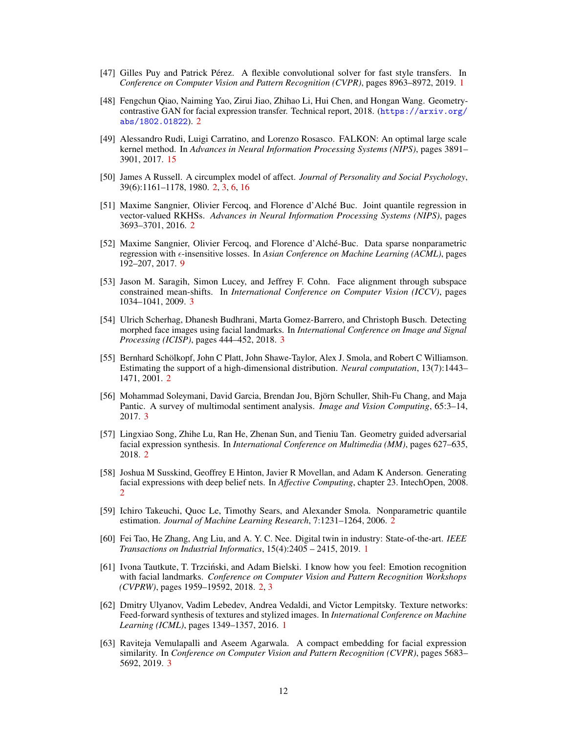- <span id="page-11-1"></span>[47] Gilles Puy and Patrick Pérez. A flexible convolutional solver for fast style transfers. In *Conference on Computer Vision and Pattern Recognition (CVPR)*, pages 8963–8972, 2019. [1](#page-0-0)
- <span id="page-11-4"></span>[48] Fengchun Qiao, Naiming Yao, Zirui Jiao, Zhihao Li, Hui Chen, and Hongan Wang. Geometrycontrastive GAN for facial expression transfer. Technical report, 2018. ([https://arxiv.org/](https://arxiv.org/abs/1802.01822) [abs/1802.01822](https://arxiv.org/abs/1802.01822)). [2](#page-1-0)
- <span id="page-11-16"></span>[49] Alessandro Rudi, Luigi Carratino, and Lorenzo Rosasco. FALKON: An optimal large scale kernel method. In *Advances in Neural Information Processing Systems (NIPS)*, pages 3891– 3901, 2017. [15](#page-14-1)
- <span id="page-11-6"></span>[50] James A Russell. A circumplex model of affect. *Journal of Personality and Social Psychology*, 39(6):1161–1178, 1980. [2,](#page-1-0) [3,](#page-2-4) [6,](#page-5-3) [16](#page-15-3)
- <span id="page-11-9"></span>[51] Maxime Sangnier, Olivier Fercoq, and Florence d'Alché Buc. Joint quantile regression in vector-valued RKHSs. *Advances in Neural Information Processing Systems (NIPS)*, pages 3693–3701, 2016. [2](#page-1-0)
- <span id="page-11-15"></span>[52] Maxime Sangnier, Olivier Fercoq, and Florence d'Alché-Buc. Data sparse nonparametric regression with  $\epsilon$ -insensitive losses. In *Asian Conference on Machine Learning (ACML)*, pages 192–207, 2017. [9](#page-8-10)
- <span id="page-11-13"></span>[53] Jason M. Saragih, Simon Lucey, and Jeffrey F. Cohn. Face alignment through subspace constrained mean-shifts. In *International Conference on Computer Vision (ICCV)*, pages 1034–1041, 2009. [3](#page-2-4)
- <span id="page-11-12"></span>[54] Ulrich Scherhag, Dhanesh Budhrani, Marta Gomez-Barrero, and Christoph Busch. Detecting morphed face images using facial landmarks. In *International Conference on Image and Signal Processing (ICISP)*, pages 444–452, 2018. [3](#page-2-4)
- <span id="page-11-10"></span>[55] Bernhard Schölkopf, John C Platt, John Shawe-Taylor, Alex J. Smola, and Robert C Williamson. Estimating the support of a high-dimensional distribution. *Neural computation*, 13(7):1443– 1471, 2001. [2](#page-1-0)
- <span id="page-11-14"></span>[56] Mohammad Soleymani, David Garcia, Brendan Jou, Björn Schuller, Shih-Fu Chang, and Maja Pantic. A survey of multimodal sentiment analysis. *Image and Vision Computing*, 65:3–14, 2017. [3](#page-2-4)
- <span id="page-11-5"></span>[57] Lingxiao Song, Zhihe Lu, Ran He, Zhenan Sun, and Tieniu Tan. Geometry guided adversarial facial expression synthesis. In *International Conference on Multimedia (MM)*, pages 627–635, 2018. [2](#page-1-0)
- <span id="page-11-3"></span>[58] Joshua M Susskind, Geoffrey E Hinton, Javier R Movellan, and Adam K Anderson. Generating facial expressions with deep belief nets. In *Affective Computing*, chapter 23. IntechOpen, 2008. [2](#page-1-0)
- <span id="page-11-8"></span>[59] Ichiro Takeuchi, Quoc Le, Timothy Sears, and Alexander Smola. Nonparametric quantile estimation. *Journal of Machine Learning Research*, 7:1231–1264, 2006. [2](#page-1-0)
- <span id="page-11-2"></span>[60] Fei Tao, He Zhang, Ang Liu, and A. Y. C. Nee. Digital twin in industry: State-of-the-art. *IEEE Transactions on Industrial Informatics*, 15(4):2405 – 2415, 2019. [1](#page-0-0)
- <span id="page-11-7"></span>[61] Ivona Tautkute, T. Trzciński, and Adam Bielski. I know how you feel: Emotion recognition with facial landmarks. *Conference on Computer Vision and Pattern Recognition Workshops (CVPRW)*, pages 1959–19592, 2018. [2,](#page-1-0) [3](#page-2-4)
- <span id="page-11-0"></span>[62] Dmitry Ulyanov, Vadim Lebedev, Andrea Vedaldi, and Victor Lempitsky. Texture networks: Feed-forward synthesis of textures and stylized images. In *International Conference on Machine Learning (ICML)*, pages 1349–1357, 2016. [1](#page-0-0)
- <span id="page-11-11"></span>[63] Raviteja Vemulapalli and Aseem Agarwala. A compact embedding for facial expression similarity. In *Conference on Computer Vision and Pattern Recognition (CVPR)*, pages 5683– 5692, 2019. [3](#page-2-4)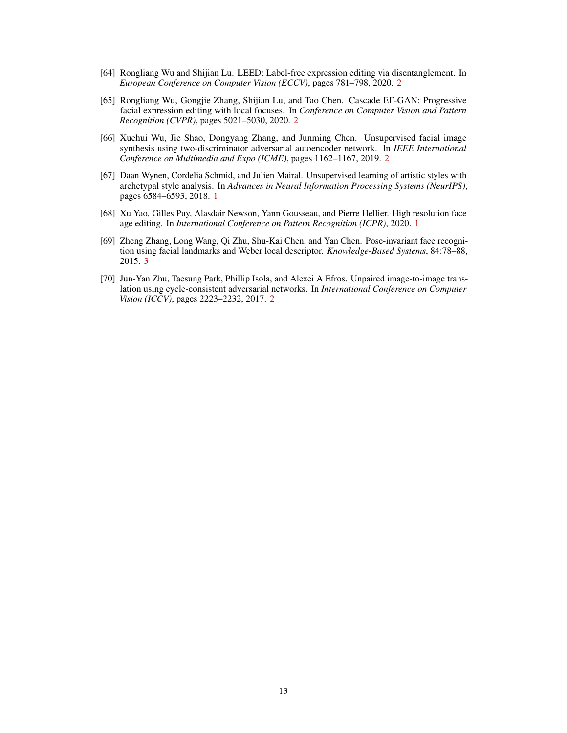- <span id="page-12-5"></span>[64] Rongliang Wu and Shijian Lu. LEED: Label-free expression editing via disentanglement. In *European Conference on Computer Vision (ECCV)*, pages 781–798, 2020. [2](#page-1-0)
- <span id="page-12-4"></span>[65] Rongliang Wu, Gongjie Zhang, Shijian Lu, and Tao Chen. Cascade EF-GAN: Progressive facial expression editing with local focuses. In *Conference on Computer Vision and Pattern Recognition (CVPR)*, pages 5021–5030, 2020. [2](#page-1-0)
- <span id="page-12-3"></span>[66] Xuehui Wu, Jie Shao, Dongyang Zhang, and Junming Chen. Unsupervised facial image synthesis using two-discriminator adversarial autoencoder network. In *IEEE International Conference on Multimedia and Expo (ICME)*, pages 1162–1167, 2019. [2](#page-1-0)
- <span id="page-12-0"></span>[67] Daan Wynen, Cordelia Schmid, and Julien Mairal. Unsupervised learning of artistic styles with archetypal style analysis. In *Advances in Neural Information Processing Systems (NeurIPS)*, pages 6584–6593, 2018. [1](#page-0-0)
- <span id="page-12-1"></span>[68] Xu Yao, Gilles Puy, Alasdair Newson, Yann Gousseau, and Pierre Hellier. High resolution face age editing. In *International Conference on Pattern Recognition (ICPR)*, 2020. [1](#page-0-0)
- <span id="page-12-6"></span>[69] Zheng Zhang, Long Wang, Qi Zhu, Shu-Kai Chen, and Yan Chen. Pose-invariant face recognition using facial landmarks and Weber local descriptor. *Knowledge-Based Systems*, 84:78–88, 2015. [3](#page-2-4)
- <span id="page-12-2"></span>[70] Jun-Yan Zhu, Taesung Park, Phillip Isola, and Alexei A Efros. Unpaired image-to-image translation using cycle-consistent adversarial networks. In *International Conference on Computer Vision (ICCV)*, pages 2223–2232, 2017. [2](#page-1-0)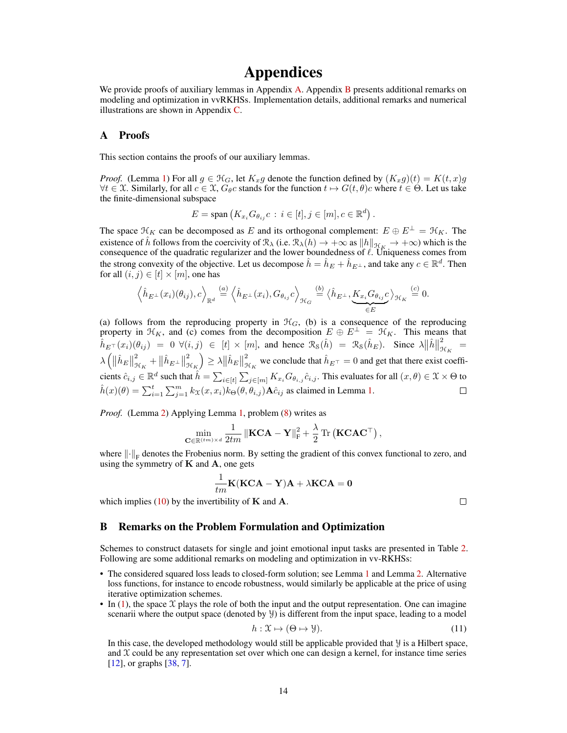# Appendices

<span id="page-13-1"></span>We provide proofs of auxiliary lemmas in Appendix [A.](#page-13-2) Appendix [B](#page-13-0) presents additional remarks on modeling and optimization in vvRKHSs. Implementation details, additional remarks and numerical illustrations are shown in Appendix [C.](#page-14-2)

## <span id="page-13-2"></span>A Proofs

This section contains the proofs of our auxiliary lemmas.

*Proof.* (Lemma [1\)](#page-5-4) For all  $g \in \mathcal{H}_G$ , let  $K_x g$  denote the function defined by  $(K_x g)(t) = K(t, x)g$  $\forall t \in \mathcal{X}$ . Similarly, for all  $c \in \mathcal{X}$ ,  $G_{\theta}c$  stands for the function  $t \mapsto G(t, \theta)c$  where  $t \in \Theta$ . Let us take the finite-dimensional subspace

$$
E = \text{span}\left(K_{x_i} G_{\theta_{ij}} c : i \in [t], j \in [m], c \in \mathbb{R}^d\right).
$$

The space  $\mathcal{H}_K$  can be decomposed as E and its orthogonal complement:  $E \oplus E^{\perp} = \mathcal{H}_K$ . The existence of  $\hat{h}$  follows from the coercivity of  $\mathcal{R}_{\lambda}$  (i.e.  $\mathcal{R}_{\lambda}(h) \to +\infty$  as  $||h||_{\mathcal{H}_{K}} \to +\infty$ ) which is the consequence of the quadratic regularizer and the lower boundedness of  $\ell$ . Uniqueness comes from the strong convexity of the objective. Let us decompose  $\hat{h} = \hat{h}_E + \hat{h}_{E^\perp}$ , and take any  $c \in \mathbb{R}^d$ . Then for all  $(i, j) \in [t] \times [m]$ , one has

$$
\left\langle \hat{h}_{E^{\perp}}(x_i)(\theta_{ij}), c \right\rangle_{\mathbb{R}^d} \stackrel{(a)}{=} \left\langle \hat{h}_{E^{\perp}}(x_i), G_{\theta_{ij}}c \right\rangle_{\mathcal{H}_G} \stackrel{(b)}{=} \left\langle \hat{h}_{E^{\perp}}, \underbrace{K_{x_i}G_{\theta_{ij}}c}_{\in E} \right\rangle_{\mathcal{H}_K} \stackrel{(c)}{=} 0.
$$

(a) follows from the reproducing property in  $\mathcal{H}_G$ , (b) is a consequence of the reproducing property in  $\mathcal{H}_K$ , and (c) comes from the decomposition  $E \oplus E^{\perp} = \mathcal{H}_K$ . This means that  $\frac{2}{3}$  =  $\hat{h}_{E^{\top}}(x_i)(\theta_{ij}) = 0 \,\forall (i,j) \in [t] \times [m]$ , and hence  $\mathcal{R}_S(\hat{h}) = \mathcal{R}_S(\hat{h}_E)$ . Since  $\lambda \|\hat{h}\|$  $\mathfrak{R}_K$  $\lambda\left(\left\Vert \hat{h}_{E}\right\Vert \right)$ 2 2  $\left(\frac{2}{\mathcal{H}_K}\right) \geq \lambda \|\hat{h}_E\|$ 2  $\frac{2}{\mathfrak{K}_K} + ||\hat{h}_{E^\perp}||$  ${}^{2}_{\mathcal{H}_K}$  we conclude that  $\hat{h}_{E^{\top}} = 0$  and get that there exist coefficients  $\hat{c}_{i,j}\in\mathbb{R}^d$  such that  $\hat{h}=\sum_{i\in[t]}\sum_{j\in[m]}K_{x_i}G_{\theta_{i,j}}\hat{c}_{i,j}.$  This evaluates for all  $(x,\theta)\in\mathfrak{X}\times\Theta$  to  $\hat{h}(x)(\theta) = \sum_{i=1}^{t} \sum_{j=1}^{m} k_{X}(x, x_i) k_{\Theta}(\theta, \theta_{i,j}) \mathbf{A} \hat{c}_{ij}$  as claimed in Lemma [1.](#page-5-4)  $\Box$ 

*Proof.* (Lemma [2\)](#page-5-5) Applying Lemma [1,](#page-5-4) problem [\(8\)](#page-4-2) writes as

$$
\min_{\mathbf{C} \in \mathbb{R}^{(tm)\times d}} \frac{1}{2tm} \left\| \mathbf{KCA} - \mathbf{Y} \right\|_{\mathrm{F}}^2 + \frac{\lambda}{2} \operatorname{Tr} \left( \mathbf{KCAC}^\top \right),\,
$$

where  $\|\cdot\|_F$  denotes the Frobenius norm. By setting the gradient of this convex functional to zero, and using the symmetry of  $K$  and  $A$ , one gets

$$
\frac{1}{tm}\mathbf{K}(\mathbf{KCA}-\mathbf{Y})\mathbf{A} + \lambda \mathbf{KCA} = \mathbf{0}
$$

which implies [\(10\)](#page-5-6) by the invertibility of  $K$  and  $A$ .

## $\Box$

## <span id="page-13-0"></span>B Remarks on the Problem Formulation and Optimization

Schemes to construct datasets for single and joint emotional input tasks are presented in Table [2.](#page-14-3) Following are some additional remarks on modeling and optimization in vv-RKHSs:

- The considered squared loss leads to closed-form solution; see Lemma [1](#page-5-4) and Lemma [2.](#page-5-5) Alternative loss functions, for instance to encode robustness, would similarly be applicable at the price of using iterative optimization schemes.
- In [\(1\)](#page-2-2), the space  $\mathfrak X$  plays the role of both the input and the output representation. One can imagine scenarii where the output space (denoted by  $\mathcal{Y}$ ) is different from the input space, leading to a model

$$
h: \mathfrak{X} \mapsto (\Theta \mapsto \mathfrak{Y}).\tag{11}
$$

In this case, the developed methodology would still be applicable provided that Y is a Hilbert space, and  $\mathfrak X$  could be any representation set over which one can design a kernel, for instance time series [\[12\]](#page-8-11), or graphs [\[38,](#page-10-12) [7\]](#page-8-12).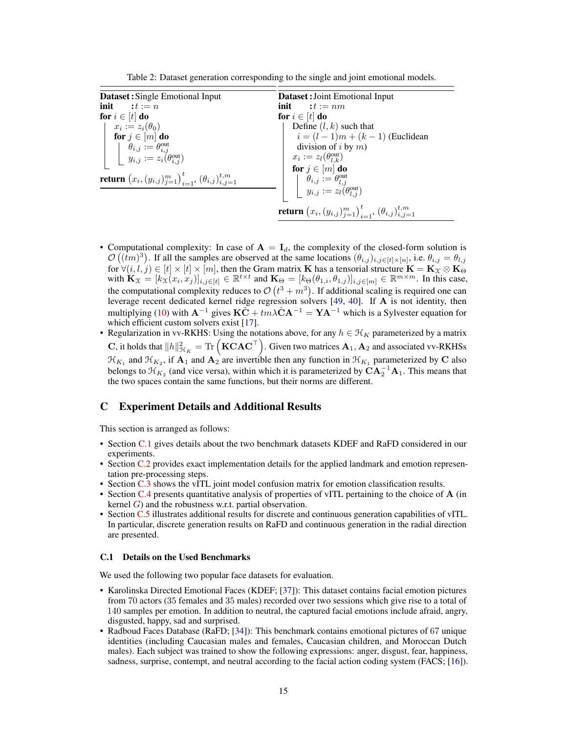<span id="page-14-1"></span>Table 2: Dataset generation corresponding to the single and joint emotional models.

<span id="page-14-3"></span>

| <b>Dataset:</b> Single Emotional Input                                                                             | <b>Dataset:</b> Joint Emotional Input                                                                                                     |  |
|--------------------------------------------------------------------------------------------------------------------|-------------------------------------------------------------------------------------------------------------------------------------------|--|
| init $:t := n$                                                                                                     | init $:t := nm$                                                                                                                           |  |
| for $i \in [t]$ do                                                                                                 | for $i \in [t]$ do                                                                                                                        |  |
| $x_i := z_i(\theta_0)$                                                                                             | Define $(l, k)$ such that                                                                                                                 |  |
| for $j \in [m]$ do                                                                                                 | $i = (l - 1)m + (k - 1)$ (Euclidean                                                                                                       |  |
|                                                                                                                    | division of i by $m$ )                                                                                                                    |  |
| $\begin{cases} \theta_{i,j} := \theta_{i,j}^{\text{out}} \\ y_{i,j} := z_i(\theta_{i,j}^{\text{out}}) \end{cases}$ | $x_i := z_l(\theta_{l,k}^{\text{out}})$                                                                                                   |  |
|                                                                                                                    | for $j \in [m]$ do                                                                                                                        |  |
| <b>return</b> $(x_i, (y_{i,j})_{i=1}^m)_{i=1}^t, (\theta_{i,j})_{i,j=1}^{t,m}$                                     | $\left\{ \begin{array}{ll} \theta_{i,j} := \theta_{l,j}^{\textrm{out}} \ y_{i,j} := z_l(\theta_{l,j}^{\textrm{out}}) \end{array} \right.$ |  |
|                                                                                                                    |                                                                                                                                           |  |
|                                                                                                                    | <b>return</b> $(x_i, (y_{i,j})_{i=1}^m)_{i=1}^t, (\theta_{i,j})_{i,j=1}^{t,m}$                                                            |  |

- Computational complexity: In case of  $A = I_d$ , the complexity of the closed-form solution is  $\mathcal{O}((\bar{t}m)^3)$ . If all the samples are observed at the same locations  $(\theta_{i,j})_{i,j\in[t]\times[n]}$ , i.e.  $\theta_{i,j} = \theta_{l,j}$ for  $\forall (i,l,j)\in[t]\times[t]\times[m],$  then the Gram matrix  $\bf{K}$  has a tensorial structure  $\bf{K}=\bf{K}_X\otimes \bf{K}_\Theta$ with  $\mathbf{K}_x = [k_x(x_i, x_j)]_{i,j \in [t]} \in \mathbb{R}^{t \times t}$  and  $\mathbf{K}_{\Theta} = [k_{\Theta}(\theta_{1,i}, \theta_{1,j})]_{i,j \in [m]} \in \mathbb{R}^{m \times m}$ . In this case, the computational complexity reduces to  $\mathcal{O}(t^3 + m^3)$ . If additional scaling is required one can leverage recent dedicated kernel ridge regression solvers [\[49,](#page-11-16) [40\]](#page-10-13). If A is not identity, then multiplying [\(10\)](#page-5-6) with  $A^{-1}$  gives  $K\tilde{C} + t m\lambda \hat{C} A^{-1} = YA^{-1}$  which is a Sylvester equation for which efficient custom solvers exist [\[17\]](#page-9-15).
- Regularization in vv-RKHS: Using the notations above, for any  $h \in \mathcal{H}_K$  parameterized by a matrix C, it holds that  $||h||_{\mathcal{H}_K}^2 = \text{Tr} \left( \mathbf{K} \mathbf{C} \mathbf{A} \mathbf{C}^\top \right)$ . Given two matrices  $\mathbf{A}_1, \mathbf{A}_2$  and associated vv-RKHSs  $\mathcal{H}_{K_1}$  and  $\mathcal{H}_{K_2}$ , if  $\mathbf{A}_1$  and  $\mathbf{A}_2$  are invertible then any function in  $\mathcal{H}_{K_1}$  parameterized by C also belongs to  $\mathcal{H}_{K_2}$  (and vice versa), within which it is parameterized by  $\mathbf{CA}_2^{-1}\mathbf{A}_1$ . This means that the two spaces contain the same functions, but their norms are different.

# <span id="page-14-2"></span>C Experiment Details and Additional Results

This section is arranged as follows:

- Section [C.1](#page-14-0) gives details about the two benchmark datasets KDEF and RaFD considered in our experiments.
- Section [C.2](#page-15-1) provides exact implementation details for the applied landmark and emotion representation pre-processing steps.
- Section [C.3](#page-15-2) shows the vITL joint model confusion matrix for emotion classification results.
- Section [C.4](#page-15-0) presents quantitative analysis of properties of vITL pertaining to the choice of A (in kernel  $G$ ) and the robustness w.r.t. partial observation.
- Section [C.5](#page-17-0) illustrates additional results for discrete and continuous generation capabilities of vITL. In particular, discrete generation results on RaFD and continuous generation in the radial direction are presented.

## <span id="page-14-0"></span>C.1 Details on the Used Benchmarks

We used the following two popular face datasets for evaluation.

- Karolinska Directed Emotional Faces (KDEF; [\[37\]](#page-10-7)): This dataset contains facial emotion pictures from 70 actors (35 females and 35 males) recorded over two sessions which give rise to a total of 140 samples per emotion. In addition to neutral, the captured facial emotions include afraid, angry, disgusted, happy, sad and surprised.
- Radboud Faces Database (RaFD; [\[34\]](#page-10-8)): This benchmark contains emotional pictures of 67 unique identities (including Caucasian males and females, Caucasian children, and Moroccan Dutch males). Each subject was trained to show the following expressions: anger, disgust, fear, happiness, sadness, surprise, contempt, and neutral according to the facial action coding system (FACS; [\[16\]](#page-9-16)).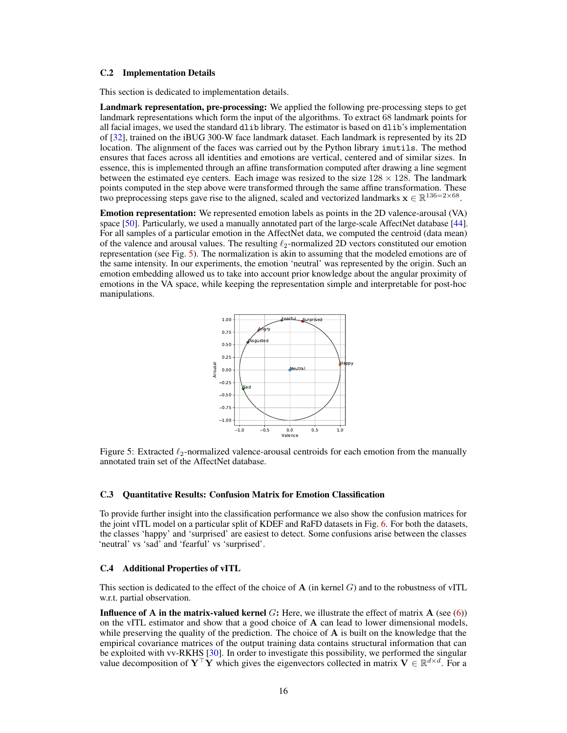### <span id="page-15-3"></span><span id="page-15-1"></span>C.2 Implementation Details

This section is dedicated to implementation details.

Landmark representation, pre-processing: We applied the following pre-processing steps to get landmark representations which form the input of the algorithms. To extract 68 landmark points for all facial images, we used the standard dlib library. The estimator is based on dlib's implementation of [\[32\]](#page-10-14), trained on the iBUG 300-W face landmark dataset. Each landmark is represented by its 2D location. The alignment of the faces was carried out by the Python library imutils. The method ensures that faces across all identities and emotions are vertical, centered and of similar sizes. In essence, this is implemented through an affine transformation computed after drawing a line segment between the estimated eye centers. Each image was resized to the size  $128 \times 128$ . The landmark points computed in the step above were transformed through the same affine transformation. These two preprocessing steps gave rise to the aligned, scaled and vectorized landmarks  $\mathbf{x} \in \mathbb{R}^{136=2\times 68}$ .

<span id="page-15-4"></span>Emotion representation: We represented emotion labels as points in the 2D valence-arousal (VA) space [\[50\]](#page-11-6). Particularly, we used a manually annotated part of the large-scale AffectNet database [\[44\]](#page-10-15). For all samples of a particular emotion in the AffectNet data, we computed the centroid (data mean) of the valence and arousal values. The resulting  $\ell_2$ -normalized 2D vectors constituted our emotion representation (see Fig. [5\)](#page-15-4). The normalization is akin to assuming that the modeled emotions are of the same intensity. In our experiments, the emotion 'neutral' was represented by the origin. Such an emotion embedding allowed us to take into account prior knowledge about the angular proximity of emotions in the VA space, while keeping the representation simple and interpretable for post-hoc manipulations.



Figure 5: Extracted  $\ell_2$ -normalized valence-arousal centroids for each emotion from the manually annotated train set of the AffectNet database.

## <span id="page-15-2"></span>C.3 Quantitative Results: Confusion Matrix for Emotion Classification

To provide further insight into the classification performance we also show the confusion matrices for the joint vITL model on a particular split of KDEF and RaFD datasets in Fig. [6.](#page-16-0) For both the datasets, the classes 'happy' and 'surprised' are easiest to detect. Some confusions arise between the classes 'neutral' vs 'sad' and 'fearful' vs 'surprised'.

#### <span id="page-15-0"></span>C.4 Additional Properties of vITL

This section is dedicated to the effect of the choice of  $A$  (in kernel G) and to the robustness of vITL w.r.t. partial observation.

**Influence of A in the matrix-valued kernel**  $G$ : Here, we illustrate the effect of matrix  $\mathbf{A}$  (see [\(6\)](#page-4-4)) on the vITL estimator and show that a good choice of  $A$  can lead to lower dimensional models, while preserving the quality of the prediction. The choice of  $A$  is built on the knowledge that the empirical covariance matrices of the output training data contains structural information that can be exploited with vv-RKHS [\[30\]](#page-10-16). In order to investigate this possibility, we performed the singular value decomposition of  $Y^{\top}Y$  which gives the eigenvectors collected in matrix  $V \in \mathbb{R}^{d \times d}$ . For a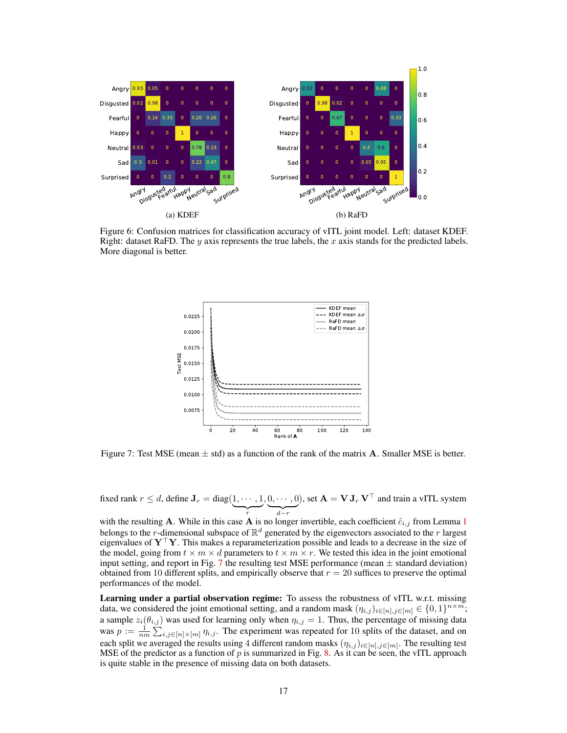<span id="page-16-0"></span>

<span id="page-16-1"></span>Figure 6: Confusion matrices for classification accuracy of vITL joint model. Left: dataset KDEF. Right: dataset RaFD. The y axis represents the true labels, the x axis stands for the predicted labels. More diagonal is better.



Figure 7: Test MSE (mean  $\pm$  std) as a function of the rank of the matrix **A**. Smaller MSE is better.

fixed rank  $r \leq d$ , define  $\mathbf{J}_r = \text{diag}(1, \cdots, 1)$  $\overline{r}$  $, 0, \cdots, 0$  $\sum_{d-r}$ ), set  $\mathbf{A} = \mathbf{V} \mathbf{J}_r \mathbf{V}^\top$  and train a vITL system

with the resulting A. While in this case A is no longer invertible, each coefficient  $\hat{c}_{i,j}$  from Lemma [1](#page-5-4) belongs to the *r*-dimensional subspace of  $\mathbb{R}^d$  generated by the eigenvectors associated to the *r* largest eigenvalues of  $Y^{\top}Y$ . This makes a reparameterization possible and leads to a decrease in the size of the model, going from  $t \times m \times d$  parameters to  $t \times m \times r$ . We tested this idea in the joint emotional input setting, and report in Fig. [7](#page-16-1) the resulting test MSE performance (mean  $\pm$  standard deviation) obtained from 10 different splits, and empirically observe that  $r = 20$  suffices to preserve the optimal performances of the model.

Learning under a partial observation regime: To assess the robustness of vITL w.r.t. missing data, we considered the joint emotional setting, and a random mask  $(\eta_{i,j})_{i \in [n], j \in [m]} \in \{0,1\}^{n \times m}$ ; a sample  $z_i(\theta_{i,j})$  was used for learning only when  $\eta_{i,j} = 1$ . Thus, the percentage of missing data was  $p := \frac{1}{nm} \sum_{i,j \in [n] \times [m]} \eta_{i,j}$ . The experiment was repeated for 10 splits of the dataset, and on each split we averaged the results using 4 different random masks  $(\eta_{i,j})_{i \in [n], j \in [m]}$ . The resulting test MSE of the predictor as a function of  $p$  is summarized in Fig. [8.](#page-17-1) As it can be seen, the vITL approach is quite stable in the presence of missing data on both datasets.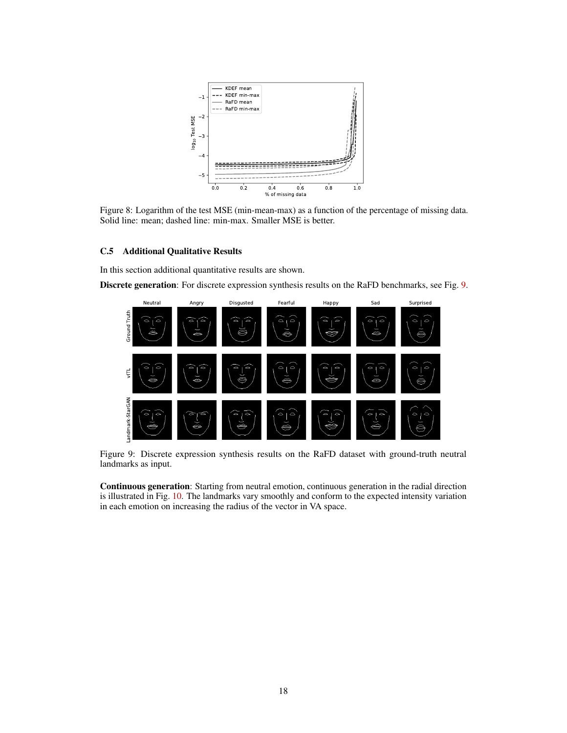<span id="page-17-1"></span>

Figure 8: Logarithm of the test MSE (min-mean-max) as a function of the percentage of missing data. Solid line: mean; dashed line: min-max. Smaller MSE is better.

## <span id="page-17-0"></span>C.5 Additional Qualitative Results

In this section additional quantitative results are shown.

<span id="page-17-2"></span>Discrete generation: For discrete expression synthesis results on the RaFD benchmarks, see Fig. [9.](#page-17-2)



Figure 9: Discrete expression synthesis results on the RaFD dataset with ground-truth neutral landmarks as input.

Continuous generation: Starting from neutral emotion, continuous generation in the radial direction is illustrated in Fig. [10.](#page-18-0) The landmarks vary smoothly and conform to the expected intensity variation in each emotion on increasing the radius of the vector in VA space.